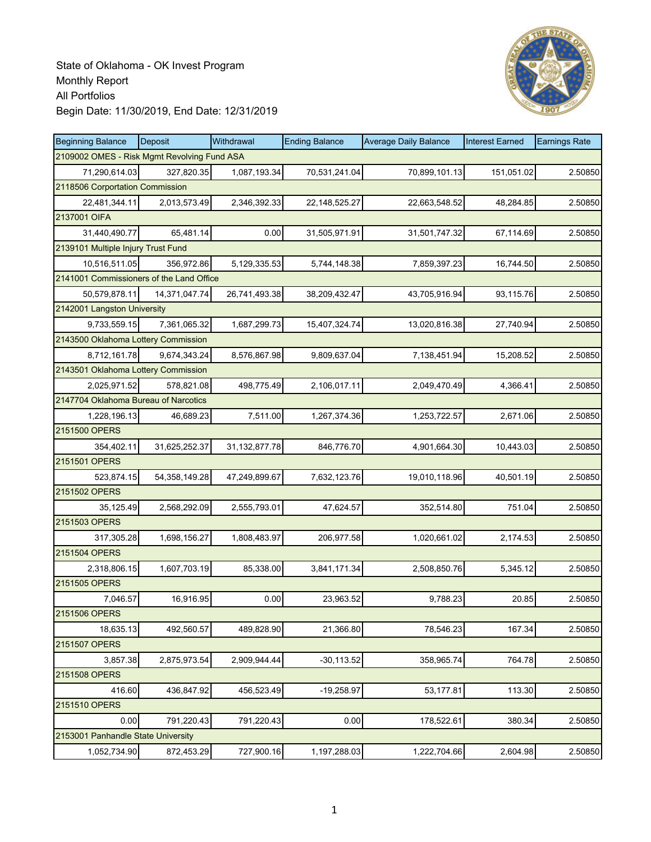

| <b>Beginning Balance</b>                    | Deposit          | Withdrawal       | <b>Ending Balance</b> | <b>Average Daily Balance</b> | <b>Interest Earned</b> | <b>Earnings Rate</b> |
|---------------------------------------------|------------------|------------------|-----------------------|------------------------------|------------------------|----------------------|
| 2109002 OMES - Risk Mgmt Revolving Fund ASA |                  |                  |                       |                              |                        |                      |
| 71,290,614.03                               | 327,820.35       | 1,087,193.34     | 70,531,241.04         | 70,899,101.13                | 151,051.02             | 2.50850              |
| 2118506 Corportation Commission             |                  |                  |                       |                              |                        |                      |
| 22,481,344.11                               | 2,013,573.49     | 2,346,392.33     | 22,148,525.27         | 22,663,548.52                | 48,284.85              | 2.50850              |
| 2137001 OIFA                                |                  |                  |                       |                              |                        |                      |
| 31,440,490.77                               | 65,481.14        | 0.00             | 31,505,971.91         | 31,501,747.32                | 67,114.69              | 2.50850              |
| 2139101 Multiple Injury Trust Fund          |                  |                  |                       |                              |                        |                      |
| 10,516,511.05                               | 356,972.86       | 5,129,335.53     | 5,744,148.38          | 7,859,397.23                 | 16,744.50              | 2.50850              |
| 2141001 Commissioners of the Land Office    |                  |                  |                       |                              |                        |                      |
| 50,579,878.11                               | 14,371,047.74    | 26,741,493.38    | 38,209,432.47         | 43,705,916.94                | 93,115.76              | 2.50850              |
| 2142001 Langston University                 |                  |                  |                       |                              |                        |                      |
| 9,733,559.15                                | 7,361,065.32     | 1,687,299.73     | 15,407,324.74         | 13,020,816.38                | 27,740.94              | 2.50850              |
| 2143500 Oklahoma Lottery Commission         |                  |                  |                       |                              |                        |                      |
| 8.712.161.78                                | 9.674.343.24     | 8,576,867.98     | 9,809,637.04          | 7,138,451.94                 | 15,208.52              | 2.50850              |
| 2143501 Oklahoma Lottery Commission         |                  |                  |                       |                              |                        |                      |
| 2,025,971.52                                | 578,821.08       | 498,775.49       | 2,106,017.11          | 2,049,470.49                 | 4,366.41               | 2.50850              |
| 2147704 Oklahoma Bureau of Narcotics        |                  |                  |                       |                              |                        |                      |
| 1,228,196.13                                | 46,689.23        | 7,511.00         | 1,267,374.36          | 1,253,722.57                 | 2,671.06               | 2.50850              |
| 2151500 OPERS                               |                  |                  |                       |                              |                        |                      |
| 354,402.11                                  | 31,625,252.37    | 31, 132, 877. 78 | 846,776.70            | 4,901,664.30                 | 10,443.03              | 2.50850              |
| 2151501 OPERS                               |                  |                  |                       |                              |                        |                      |
| 523,874.15                                  | 54, 358, 149. 28 | 47,249,899.67    | 7,632,123.76          | 19,010,118.96                | 40,501.19              | 2.50850              |
| 2151502 OPERS                               |                  |                  |                       |                              |                        |                      |
| 35,125.49                                   | 2,568,292.09     | 2,555,793.01     | 47,624.57             | 352,514.80                   | 751.04                 | 2.50850              |
| 2151503 OPERS                               |                  |                  |                       |                              |                        |                      |
| 317,305.28                                  | 1,698,156.27     | 1,808,483.97     | 206,977.58            | 1,020,661.02                 | 2,174.53               | 2.50850              |
| 2151504 OPERS                               |                  |                  |                       |                              |                        |                      |
| 2,318,806.15                                | 1,607,703.19     | 85,338.00        | 3,841,171.34          | 2,508,850.76                 | 5,345.12               | 2.50850              |
| 2151505 OPERS                               |                  |                  |                       |                              |                        |                      |
| 7,046.57                                    | 16,916.95        | 0.00             | 23,963.52             | 9,788.23                     | 20.85                  | 2.50850              |
| 2151506 OPERS                               |                  |                  |                       |                              |                        |                      |
| 18,635.13                                   | 492,560.57       | 489,828.90       | 21,366.80             | 78,546.23                    | 167.34                 | 2.50850              |
| 2151507 OPERS                               |                  |                  |                       |                              |                        |                      |
| 3,857.38                                    | 2,875,973.54     | 2,909,944.44     | $-30, 113.52$         | 358,965.74                   | 764.78                 | 2.50850              |
| 2151508 OPERS                               |                  |                  |                       |                              |                        |                      |
| 416.60                                      | 436,847.92       | 456,523.49       | $-19,258.97$          | 53,177.81                    | 113.30                 | 2.50850              |
| 2151510 OPERS                               |                  |                  |                       |                              |                        |                      |
| 0.00                                        | 791,220.43       | 791,220.43       | 0.00                  | 178,522.61                   | 380.34                 | 2.50850              |
| 2153001 Panhandle State University          |                  |                  |                       |                              |                        |                      |
| 1,052,734.90                                | 872,453.29       | 727,900.16       | 1,197,288.03          | 1,222,704.66                 | 2,604.98               | 2.50850              |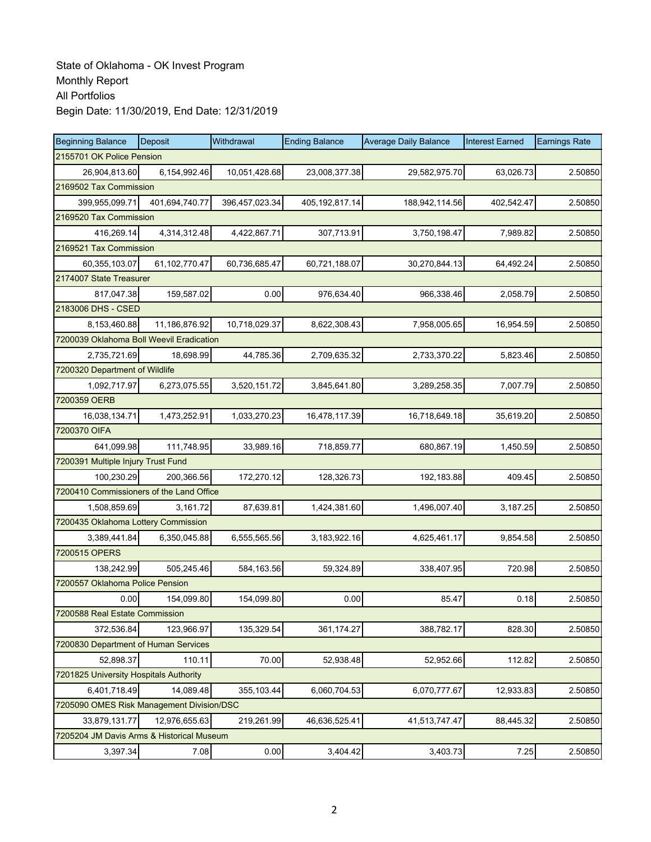| <b>Beginning Balance</b>                  | Deposit        | Withdrawal     | <b>Ending Balance</b> | <b>Average Daily Balance</b> | <b>Interest Earned</b> | <b>Earnings Rate</b> |  |  |  |
|-------------------------------------------|----------------|----------------|-----------------------|------------------------------|------------------------|----------------------|--|--|--|
| 2155701 OK Police Pension                 |                |                |                       |                              |                        |                      |  |  |  |
| 26,904,813.60                             | 6,154,992.46   | 10,051,428.68  | 23,008,377.38         | 29,582,975.70                | 63,026.73              | 2.50850              |  |  |  |
| 2169502 Tax Commission                    |                |                |                       |                              |                        |                      |  |  |  |
| 399,955,099.71                            | 401,694,740.77 | 396,457,023.34 | 405, 192, 817. 14     | 188,942,114.56               | 402,542.47             | 2.50850              |  |  |  |
| 2169520 Tax Commission                    |                |                |                       |                              |                        |                      |  |  |  |
| 416,269.14                                | 4,314,312.48   | 4,422,867.71   | 307,713.91            | 3,750,198.47                 | 7,989.82               | 2.50850              |  |  |  |
| 2169521 Tax Commission                    |                |                |                       |                              |                        |                      |  |  |  |
| 60,355,103.07                             | 61,102,770.47  | 60,736,685.47  | 60,721,188.07         | 30,270,844.13                | 64,492.24              | 2.50850              |  |  |  |
| 2174007 State Treasurer                   |                |                |                       |                              |                        |                      |  |  |  |
| 817,047.38                                | 159,587.02     | 0.00           | 976,634.40            | 966,338.46                   | 2,058.79               | 2.50850              |  |  |  |
| 2183006 DHS - CSED                        |                |                |                       |                              |                        |                      |  |  |  |
| 8,153,460.88                              | 11,186,876.92  | 10,718,029.37  | 8,622,308.43          | 7,958,005.65                 | 16,954.59              | 2.50850              |  |  |  |
| 7200039 Oklahoma Boll Weevil Eradication  |                |                |                       |                              |                        |                      |  |  |  |
| 2,735,721.69                              | 18,698.99      | 44,785.36      | 2,709,635.32          | 2,733,370.22                 | 5,823.46               | 2.50850              |  |  |  |
| 7200320 Department of Wildlife            |                |                |                       |                              |                        |                      |  |  |  |
| 1,092,717.97                              | 6,273,075.55   | 3,520,151.72   | 3,845,641.80          | 3,289,258.35                 | 7,007.79               | 2.50850              |  |  |  |
| 7200359 OERB                              |                |                |                       |                              |                        |                      |  |  |  |
| 16,038,134.71                             | 1,473,252.91   | 1,033,270.23   | 16,478,117.39         | 16,718,649.18                | 35,619.20              | 2.50850              |  |  |  |
| 7200370 OIFA                              |                |                |                       |                              |                        |                      |  |  |  |
| 641,099.98                                | 111,748.95     | 33,989.16      | 718,859.77            | 680,867.19                   | 1,450.59               | 2.50850              |  |  |  |
| 7200391 Multiple Injury Trust Fund        |                |                |                       |                              |                        |                      |  |  |  |
| 100,230.29                                | 200,366.56     | 172,270.12     | 128,326.73            | 192,183.88                   | 409.45                 | 2.50850              |  |  |  |
| 7200410 Commissioners of the Land Office  |                |                |                       |                              |                        |                      |  |  |  |
| 1,508,859.69                              | 3,161.72       | 87,639.81      | 1,424,381.60          | 1,496,007.40                 | 3,187.25               | 2.50850              |  |  |  |
| 7200435 Oklahoma Lottery Commission       |                |                |                       |                              |                        |                      |  |  |  |
| 3,389,441.84                              | 6,350,045.88   | 6,555,565.56   | 3,183,922.16          | 4,625,461.17                 | 9,854.58               | 2.50850              |  |  |  |
| 7200515 OPERS                             |                |                |                       |                              |                        |                      |  |  |  |
| 138,242.99                                | 505,245.46     | 584,163.56     | 59,324.89             | 338,407.95                   | 720.98                 | 2.50850              |  |  |  |
| 7200557 Oklahoma Police Pension           |                |                |                       |                              |                        |                      |  |  |  |
| 0.00                                      | 154,099.80     | 154,099.80     | 0.00                  | 85.47                        | 0.18                   | 2.50850              |  |  |  |
| 7200588 Real Estate Commission            |                |                |                       |                              |                        |                      |  |  |  |
| 372,536.84                                | 123,966.97     | 135,329.54     | 361,174.27            | 388,782.17                   | 828.30                 | 2.50850              |  |  |  |
| 7200830 Department of Human Services      |                |                |                       |                              |                        |                      |  |  |  |
| 52,898.37                                 | 110.11         | 70.00          | 52,938.48             | 52,952.66                    | 112.82                 | 2.50850              |  |  |  |
| 7201825 University Hospitals Authority    |                |                |                       |                              |                        |                      |  |  |  |
| 6,401,718.49                              | 14,089.48      | 355,103.44     | 6,060,704.53          | 6,070,777.67                 | 12,933.83              | 2.50850              |  |  |  |
| 7205090 OMES Risk Management Division/DSC |                |                |                       |                              |                        |                      |  |  |  |
| 33,879,131.77                             | 12,976,655.63  | 219,261.99     | 46,636,525.41         | 41,513,747.47                | 88,445.32              | 2.50850              |  |  |  |
| 7205204 JM Davis Arms & Historical Museum |                |                |                       |                              |                        |                      |  |  |  |
| 3,397.34                                  | 7.08           | 0.00           | 3,404.42              | 3,403.73                     | 7.25                   | 2.50850              |  |  |  |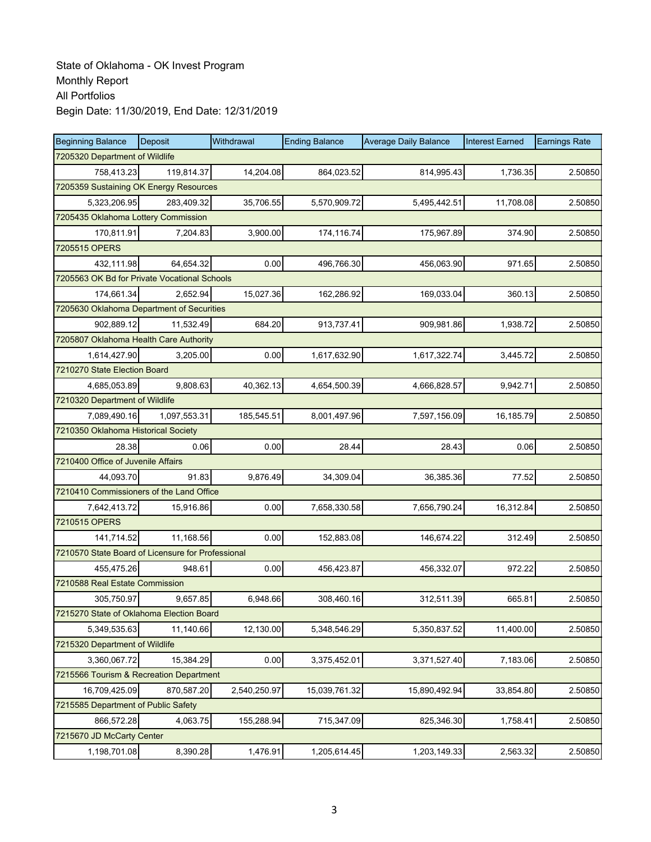| <b>Beginning Balance</b>                          | <b>Deposit</b> | Withdrawal   | <b>Ending Balance</b> | <b>Average Daily Balance</b> | <b>Interest Earned</b> | <b>Earnings Rate</b> |  |  |  |
|---------------------------------------------------|----------------|--------------|-----------------------|------------------------------|------------------------|----------------------|--|--|--|
| 7205320 Department of Wildlife                    |                |              |                       |                              |                        |                      |  |  |  |
| 758,413.23                                        | 119,814.37     | 14,204.08    | 864,023.52            | 814,995.43                   | 1,736.35               | 2.50850              |  |  |  |
| 7205359 Sustaining OK Energy Resources            |                |              |                       |                              |                        |                      |  |  |  |
| 5,323,206.95                                      | 283,409.32     | 35,706.55    | 5,570,909.72          | 5,495,442.51                 | 11,708.08              | 2.50850              |  |  |  |
| 7205435 Oklahoma Lottery Commission               |                |              |                       |                              |                        |                      |  |  |  |
| 170,811.91                                        | 7,204.83       | 3,900.00     | 174,116.74            | 175,967.89                   | 374.90                 | 2.50850              |  |  |  |
| 7205515 OPERS                                     |                |              |                       |                              |                        |                      |  |  |  |
| 432.111.98                                        | 64,654.32      | 0.00         | 496,766.30            | 456,063.90                   | 971.65                 | 2.50850              |  |  |  |
| 7205563 OK Bd for Private Vocational Schools      |                |              |                       |                              |                        |                      |  |  |  |
| 174,661.34                                        | 2,652.94       | 15,027.36    | 162,286.92            | 169,033.04                   | 360.13                 | 2.50850              |  |  |  |
| 7205630 Oklahoma Department of Securities         |                |              |                       |                              |                        |                      |  |  |  |
| 902,889.12                                        | 11,532.49      | 684.20       | 913,737.41            | 909,981.86                   | 1,938.72               | 2.50850              |  |  |  |
| 7205807 Oklahoma Health Care Authority            |                |              |                       |                              |                        |                      |  |  |  |
| 1,614,427.90                                      | 3,205.00       | 0.00         | 1,617,632.90          | 1,617,322.74                 | 3.445.72               | 2.50850              |  |  |  |
| 7210270 State Election Board                      |                |              |                       |                              |                        |                      |  |  |  |
| 4,685,053.89                                      | 9,808.63       | 40,362.13    | 4,654,500.39          | 4,666,828.57                 | 9,942.71               | 2.50850              |  |  |  |
| 7210320 Department of Wildlife                    |                |              |                       |                              |                        |                      |  |  |  |
| 7,089,490.16                                      | 1,097,553.31   | 185,545.51   | 8,001,497.96          | 7,597,156.09                 | 16,185.79              | 2.50850              |  |  |  |
| 7210350 Oklahoma Historical Society               |                |              |                       |                              |                        |                      |  |  |  |
| 28.38                                             | 0.06           | 0.00         | 28.44                 | 28.43                        | 0.06                   | 2.50850              |  |  |  |
| 7210400 Office of Juvenile Affairs                |                |              |                       |                              |                        |                      |  |  |  |
| 44,093.70                                         | 91.83          | 9,876.49     | 34,309.04             | 36,385.36                    | 77.52                  | 2.50850              |  |  |  |
| 7210410 Commissioners of the Land Office          |                |              |                       |                              |                        |                      |  |  |  |
| 7,642,413.72                                      | 15,916.86      | 0.00         | 7,658,330.58          | 7,656,790.24                 | 16,312.84              | 2.50850              |  |  |  |
| 7210515 OPERS                                     |                |              |                       |                              |                        |                      |  |  |  |
| 141,714.52                                        | 11,168.56      | 0.00         | 152,883.08            | 146,674.22                   | 312.49                 | 2.50850              |  |  |  |
| 7210570 State Board of Licensure for Professional |                |              |                       |                              |                        |                      |  |  |  |
| 455,475.26                                        | 948.61         | 0.00         | 456,423.87            | 456,332.07                   | 972.22                 | 2.50850              |  |  |  |
| 7210588 Real Estate Commission                    |                |              |                       |                              |                        |                      |  |  |  |
| 305,750.97                                        | 9,657.85       | 6,948.66     | 308,460.16            | 312,511.39                   | 665.81                 | 2.50850              |  |  |  |
| 7215270 State of Oklahoma Election Board          |                |              |                       |                              |                        |                      |  |  |  |
| 5,349,535.63                                      | 11,140.66      | 12,130.00    | 5,348,546.29          | 5,350,837.52                 | 11,400.00              | 2.50850              |  |  |  |
| 7215320 Department of Wildlife                    |                |              |                       |                              |                        |                      |  |  |  |
| 3,360,067.72                                      | 15,384.29      | 0.00         | 3,375,452.01          | 3,371,527.40                 | 7,183.06               | 2.50850              |  |  |  |
| 7215566 Tourism & Recreation Department           |                |              |                       |                              |                        |                      |  |  |  |
| 16,709,425.09                                     | 870,587.20     | 2,540,250.97 | 15,039,761.32         | 15,890,492.94                | 33,854.80              | 2.50850              |  |  |  |
| 7215585 Department of Public Safety               |                |              |                       |                              |                        |                      |  |  |  |
| 866,572.28                                        | 4,063.75       | 155,288.94   | 715,347.09            | 825,346.30                   | 1,758.41               | 2.50850              |  |  |  |
| 7215670 JD McCarty Center                         |                |              |                       |                              |                        |                      |  |  |  |
| 1,198,701.08                                      | 8,390.28       | 1,476.91     | 1,205,614.45          | 1,203,149.33                 | 2,563.32               | 2.50850              |  |  |  |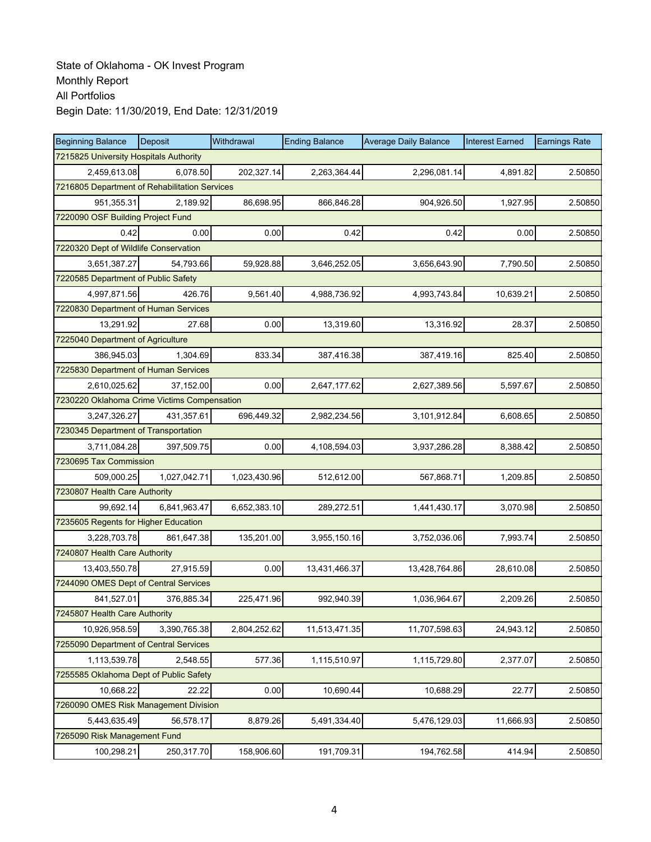| <b>Beginning Balance</b>                      | <b>Deposit</b>                    | Withdrawal   | <b>Ending Balance</b> | <b>Average Daily Balance</b> | <b>Interest Earned</b> | <b>Earnings Rate</b> |  |  |  |  |
|-----------------------------------------------|-----------------------------------|--------------|-----------------------|------------------------------|------------------------|----------------------|--|--|--|--|
| 7215825 University Hospitals Authority        |                                   |              |                       |                              |                        |                      |  |  |  |  |
| 2,459,613.08                                  | 6,078.50                          | 202,327.14   | 2,263,364.44          | 2,296,081.14                 | 4,891.82               | 2.50850              |  |  |  |  |
| 7216805 Department of Rehabilitation Services |                                   |              |                       |                              |                        |                      |  |  |  |  |
| 951,355.31                                    | 2,189.92                          | 86,698.95    | 866,846.28            | 904,926.50                   | 1,927.95               | 2.50850              |  |  |  |  |
|                                               | 7220090 OSF Building Project Fund |              |                       |                              |                        |                      |  |  |  |  |
| 0.42                                          | 0.00                              | 0.00         | 0.42                  | 0.42                         | 0.00                   | 2.50850              |  |  |  |  |
| 7220320 Dept of Wildlife Conservation         |                                   |              |                       |                              |                        |                      |  |  |  |  |
| 3,651,387.27                                  | 54,793.66                         | 59,928.88    | 3,646,252.05          | 3,656,643.90                 | 7,790.50               | 2.50850              |  |  |  |  |
| 7220585 Department of Public Safety           |                                   |              |                       |                              |                        |                      |  |  |  |  |
| 4,997,871.56                                  | 426.76                            | 9,561.40     | 4,988,736.92          | 4,993,743.84                 | 10,639.21              | 2.50850              |  |  |  |  |
| 7220830 Department of Human Services          |                                   |              |                       |                              |                        |                      |  |  |  |  |
| 13,291.92                                     | 27.68                             | 0.00         | 13,319.60             | 13,316.92                    | 28.37                  | 2.50850              |  |  |  |  |
| 7225040 Department of Agriculture             |                                   |              |                       |                              |                        |                      |  |  |  |  |
| 386,945.03                                    | 1,304.69                          | 833.34       | 387,416.38            | 387,419.16                   | 825.40                 | 2.50850              |  |  |  |  |
| 7225830 Department of Human Services          |                                   |              |                       |                              |                        |                      |  |  |  |  |
| 2,610,025.62                                  | 37,152.00                         | 0.00         | 2,647,177.62          | 2,627,389.56                 | 5,597.67               | 2.50850              |  |  |  |  |
| 7230220 Oklahoma Crime Victims Compensation   |                                   |              |                       |                              |                        |                      |  |  |  |  |
| 3,247,326.27                                  | 431,357.61                        | 696,449.32   | 2,982,234.56          | 3,101,912.84                 | 6,608.65               | 2.50850              |  |  |  |  |
| 7230345 Department of Transportation          |                                   |              |                       |                              |                        |                      |  |  |  |  |
| 3,711,084.28                                  | 397,509.75                        | 0.00         | 4,108,594.03          | 3,937,286.28                 | 8,388.42               | 2.50850              |  |  |  |  |
| 7230695 Tax Commission                        |                                   |              |                       |                              |                        |                      |  |  |  |  |
| 509,000.25                                    | 1,027,042.71                      | 1,023,430.96 | 512,612.00            | 567,868.71                   | 1,209.85               | 2.50850              |  |  |  |  |
| 7230807 Health Care Authority                 |                                   |              |                       |                              |                        |                      |  |  |  |  |
| 99,692.14                                     | 6,841,963.47                      | 6,652,383.10 | 289,272.51            | 1,441,430.17                 | 3,070.98               | 2.50850              |  |  |  |  |
| 7235605 Regents for Higher Education          |                                   |              |                       |                              |                        |                      |  |  |  |  |
| 3,228,703.78                                  | 861,647.38                        | 135,201.00   | 3,955,150.16          | 3,752,036.06                 | 7,993.74               | 2.50850              |  |  |  |  |
| 7240807 Health Care Authority                 |                                   |              |                       |                              |                        |                      |  |  |  |  |
| 13,403,550.78                                 | 27,915.59                         | 0.00         | 13,431,466.37         | 13,428,764.86                | 28,610.08              | 2.50850              |  |  |  |  |
| 7244090 OMES Dept of Central Services         |                                   |              |                       |                              |                        |                      |  |  |  |  |
| 841,527.01                                    | 376,885.34                        | 225,471.96   | 992,940.39            | 1,036,964.67                 | 2,209.26               | 2.50850              |  |  |  |  |
| 7245807 Health Care Authority                 |                                   |              |                       |                              |                        |                      |  |  |  |  |
| 10,926,958.59                                 | 3,390,765.38                      | 2,804,252.62 | 11,513,471.35         | 11,707,598.63                | 24,943.12              | 2.50850              |  |  |  |  |
| 7255090 Department of Central Services        |                                   |              |                       |                              |                        |                      |  |  |  |  |
| 1,113,539.78                                  | 2,548.55                          | 577.36       | 1,115,510.97          | 1,115,729.80                 | 2,377.07               | 2.50850              |  |  |  |  |
| 7255585 Oklahoma Dept of Public Safety        |                                   |              |                       |                              |                        |                      |  |  |  |  |
| 10,668.22                                     | 22.22                             | 0.00         | 10,690.44             | 10,688.29                    | 22.77                  | 2.50850              |  |  |  |  |
| 7260090 OMES Risk Management Division         |                                   |              |                       |                              |                        |                      |  |  |  |  |
| 5,443,635.49                                  | 56,578.17                         | 8,879.26     | 5,491,334.40          | 5,476,129.03                 | 11,666.93              | 2.50850              |  |  |  |  |
| 7265090 Risk Management Fund                  |                                   |              |                       |                              |                        |                      |  |  |  |  |
| 100,298.21                                    | 250,317.70                        | 158,906.60   | 191,709.31            | 194,762.58                   | 414.94                 | 2.50850              |  |  |  |  |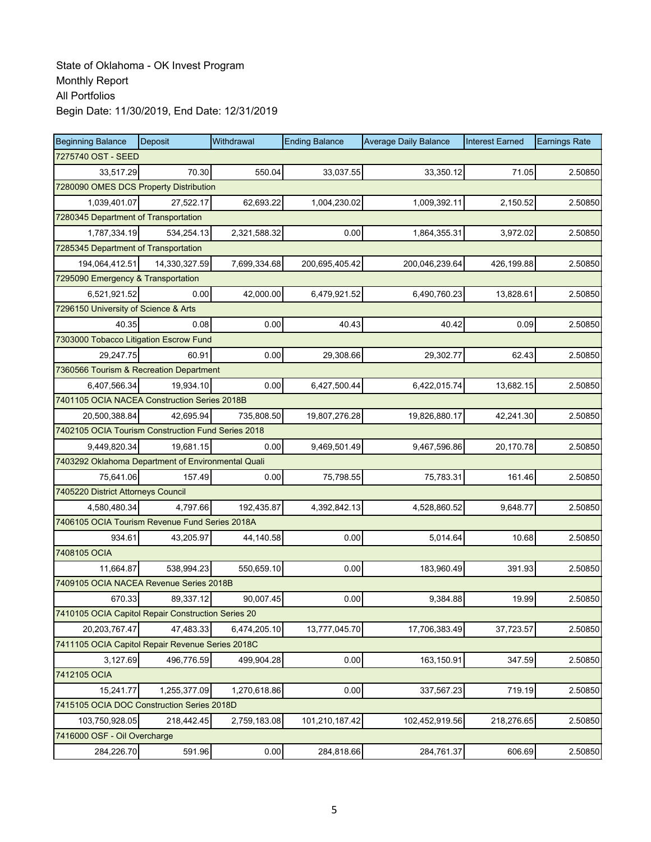| <b>Beginning Balance</b>                           | Deposit       | Withdrawal   | <b>Ending Balance</b> | <b>Average Daily Balance</b> | <b>Interest Earned</b> | <b>Earnings Rate</b> |  |  |  |
|----------------------------------------------------|---------------|--------------|-----------------------|------------------------------|------------------------|----------------------|--|--|--|
| 7275740 OST - SEED                                 |               |              |                       |                              |                        |                      |  |  |  |
| 33,517.29                                          | 70.30         | 550.04       | 33,037.55             | 33,350.12                    | 71.05                  | 2.50850              |  |  |  |
| 7280090 OMES DCS Property Distribution             |               |              |                       |                              |                        |                      |  |  |  |
| 1,039,401.07                                       | 27,522.17     | 62,693.22    | 1,004,230.02          | 1,009,392.11                 | 2,150.52               | 2.50850              |  |  |  |
| 7280345 Department of Transportation               |               |              |                       |                              |                        |                      |  |  |  |
| 1,787,334.19                                       | 534,254.13    | 2,321,588.32 | 0.00                  | 1,864,355.31                 | 3,972.02               | 2.50850              |  |  |  |
| 7285345 Department of Transportation               |               |              |                       |                              |                        |                      |  |  |  |
| 194,064,412.51                                     | 14,330,327.59 | 7,699,334.68 | 200,695,405.42        | 200,046,239.64               | 426,199.88             | 2.50850              |  |  |  |
| 7295090 Emergency & Transportation                 |               |              |                       |                              |                        |                      |  |  |  |
| 6,521,921.52                                       | 0.00          | 42,000.00    | 6,479,921.52          | 6,490,760.23                 | 13,828.61              | 2.50850              |  |  |  |
| 7296150 University of Science & Arts               |               |              |                       |                              |                        |                      |  |  |  |
| 40.35                                              | 0.08          | 0.00         | 40.43                 | 40.42                        | 0.09                   | 2.50850              |  |  |  |
| 7303000 Tobacco Litigation Escrow Fund             |               |              |                       |                              |                        |                      |  |  |  |
| 29,247.75                                          | 60.91         | 0.00         | 29,308.66             | 29,302.77                    | 62.43                  | 2.50850              |  |  |  |
| 7360566 Tourism & Recreation Department            |               |              |                       |                              |                        |                      |  |  |  |
| 6,407,566.34                                       | 19,934.10     | 0.00         | 6,427,500.44          | 6,422,015.74                 | 13,682.15              | 2.50850              |  |  |  |
| 7401105 OCIA NACEA Construction Series 2018B       |               |              |                       |                              |                        |                      |  |  |  |
| 20,500,388.84                                      | 42,695.94     | 735,808.50   | 19,807,276.28         | 19,826,880.17                | 42,241.30              | 2.50850              |  |  |  |
| 7402105 OCIA Tourism Construction Fund Series 2018 |               |              |                       |                              |                        |                      |  |  |  |
| 9,449,820.34                                       | 19,681.15     | 0.00         | 9,469,501.49          | 9,467,596.86                 | 20,170.78              | 2.50850              |  |  |  |
| 7403292 Oklahoma Department of Environmental Quali |               |              |                       |                              |                        |                      |  |  |  |
| 75,641.06                                          | 157.49        | 0.00         | 75,798.55             | 75,783.31                    | 161.46                 | 2.50850              |  |  |  |
| 7405220 District Attorneys Council                 |               |              |                       |                              |                        |                      |  |  |  |
| 4,580,480.34                                       | 4,797.66      | 192,435.87   | 4,392,842.13          | 4,528,860.52                 | 9,648.77               | 2.50850              |  |  |  |
| 7406105 OCIA Tourism Revenue Fund Series 2018A     |               |              |                       |                              |                        |                      |  |  |  |
| 934.61                                             | 43,205.97     | 44,140.58    | 0.00                  | 5,014.64                     | 10.68                  | 2.50850              |  |  |  |
| 7408105 OCIA                                       |               |              |                       |                              |                        |                      |  |  |  |
| 11,664.87                                          | 538,994.23    | 550,659.10   | 0.00                  | 183.960.49                   | 391.93                 | 2.50850              |  |  |  |
| 7409105 OCIA NACEA Revenue Series 2018B            |               |              |                       |                              |                        |                      |  |  |  |
| 670.33                                             | 89,337.12     | 90,007.45    | 0.00                  | 9,384.88                     | 19.99                  | 2.50850              |  |  |  |
| 7410105 OCIA Capitol Repair Construction Series 20 |               |              |                       |                              |                        |                      |  |  |  |
| 20.203.767.47                                      | 47,483.33     | 6,474,205.10 | 13,777,045.70         | 17,706,383.49                | 37,723.57              | 2.50850              |  |  |  |
| 7411105 OCIA Capitol Repair Revenue Series 2018C   |               |              |                       |                              |                        |                      |  |  |  |
| 3,127.69                                           | 496,776.59    | 499,904.28   | 0.00                  | 163,150.91                   | 347.59                 | 2.50850              |  |  |  |
| 7412105 OCIA                                       |               |              |                       |                              |                        |                      |  |  |  |
| 15,241.77                                          | 1,255,377.09  | 1,270,618.86 | 0.00                  | 337,567.23                   | 719.19                 | 2.50850              |  |  |  |
| 7415105 OCIA DOC Construction Series 2018D         |               |              |                       |                              |                        |                      |  |  |  |
| 103,750,928.05                                     | 218,442.45    | 2,759,183.08 | 101,210,187.42        | 102,452,919.56               | 218,276.65             | 2.50850              |  |  |  |
| 7416000 OSF - Oil Overcharge                       |               |              |                       |                              |                        |                      |  |  |  |
| 284,226.70                                         | 591.96        | 0.00         | 284,818.66            | 284,761.37                   | 606.69                 | 2.50850              |  |  |  |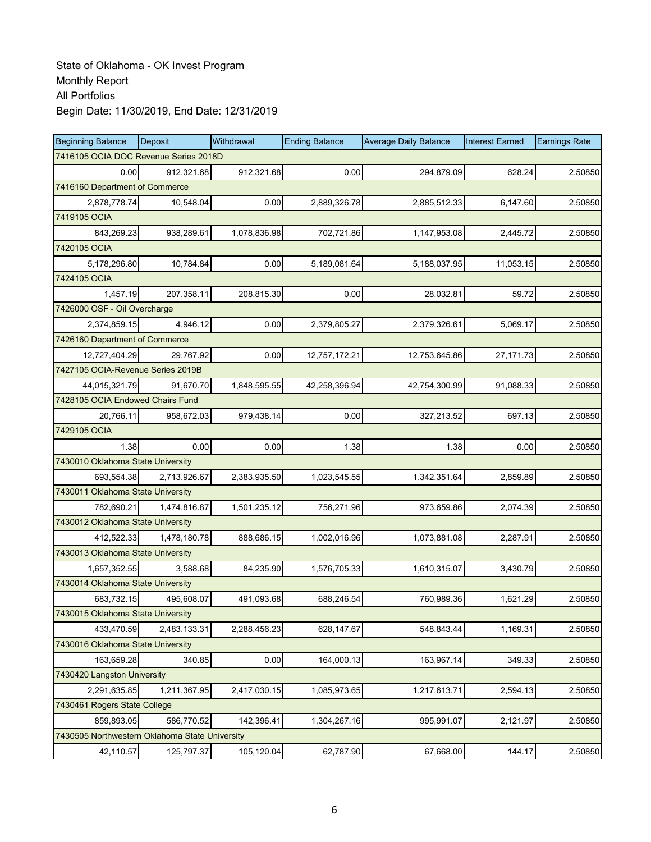| <b>Beginning Balance</b>                       | Deposit                               | Withdrawal   | <b>Ending Balance</b> | <b>Average Daily Balance</b> | <b>Interest Earned</b> | <b>Earnings Rate</b> |  |  |  |
|------------------------------------------------|---------------------------------------|--------------|-----------------------|------------------------------|------------------------|----------------------|--|--|--|
|                                                | 7416105 OCIA DOC Revenue Series 2018D |              |                       |                              |                        |                      |  |  |  |
| 0.00                                           | 912,321.68                            | 912,321.68   | 0.00                  | 294,879.09                   | 628.24                 | 2.50850              |  |  |  |
| 7416160 Department of Commerce                 |                                       |              |                       |                              |                        |                      |  |  |  |
| 2,878,778.74                                   | 10,548.04                             | 0.00         | 2,889,326.78          | 2,885,512.33                 | 6,147.60               | 2.50850              |  |  |  |
| 7419105 OCIA                                   |                                       |              |                       |                              |                        |                      |  |  |  |
| 843,269.23                                     | 938,289.61                            | 1,078,836.98 | 702,721.86            | 1,147,953.08                 | 2,445.72               | 2.50850              |  |  |  |
| 7420105 OCIA                                   |                                       |              |                       |                              |                        |                      |  |  |  |
| 5,178,296.80                                   | 10,784.84                             | 0.00         | 5,189,081.64          | 5,188,037.95                 | 11,053.15              | 2.50850              |  |  |  |
| 7424105 OCIA                                   |                                       |              |                       |                              |                        |                      |  |  |  |
| 1,457.19                                       | 207,358.11                            | 208,815.30   | 0.00                  | 28,032.81                    | 59.72                  | 2.50850              |  |  |  |
| 7426000 OSF - Oil Overcharge                   |                                       |              |                       |                              |                        |                      |  |  |  |
| 2,374,859.15                                   | 4,946.12                              | 0.00         | 2,379,805.27          | 2,379,326.61                 | 5,069.17               | 2.50850              |  |  |  |
| 7426160 Department of Commerce                 |                                       |              |                       |                              |                        |                      |  |  |  |
| 12,727,404.29                                  | 29,767.92                             | 0.00         | 12,757,172.21         | 12,753,645.86                | 27, 171.73             | 2.50850              |  |  |  |
| 7427105 OCIA-Revenue Series 2019B              |                                       |              |                       |                              |                        |                      |  |  |  |
| 44,015,321.79                                  | 91,670.70                             | 1,848,595.55 | 42,258,396.94         | 42,754,300.99                | 91,088.33              | 2.50850              |  |  |  |
| 7428105 OCIA Endowed Chairs Fund               |                                       |              |                       |                              |                        |                      |  |  |  |
| 20.766.11                                      | 958,672.03                            | 979,438.14   | 0.00                  | 327,213.52                   | 697.13                 | 2.50850              |  |  |  |
| 7429105 OCIA                                   |                                       |              |                       |                              |                        |                      |  |  |  |
| 1.38                                           | 0.00                                  | 0.00         | 1.38                  | 1.38                         | 0.00                   | 2.50850              |  |  |  |
| 7430010 Oklahoma State University              |                                       |              |                       |                              |                        |                      |  |  |  |
| 693,554.38                                     | 2,713,926.67                          | 2,383,935.50 | 1,023,545.55          | 1,342,351.64                 | 2,859.89               | 2.50850              |  |  |  |
| 7430011 Oklahoma State University              |                                       |              |                       |                              |                        |                      |  |  |  |
| 782,690.21                                     | 1,474,816.87                          | 1,501,235.12 | 756,271.96            | 973,659.86                   | 2,074.39               | 2.50850              |  |  |  |
| 7430012 Oklahoma State University              |                                       |              |                       |                              |                        |                      |  |  |  |
| 412,522.33                                     | 1,478,180.78                          | 888,686.15   | 1,002,016.96          | 1,073,881.08                 | 2,287.91               | 2.50850              |  |  |  |
| 7430013 Oklahoma State University              |                                       |              |                       |                              |                        |                      |  |  |  |
| 1,657,352.55                                   | 3.588.68                              | 84,235.90    | 1,576,705.33          | 1,610,315.07                 | 3,430.79               | 2.50850              |  |  |  |
| 7430014 Oklahoma State University              |                                       |              |                       |                              |                        |                      |  |  |  |
| 683,732.15                                     | 495,608.07                            | 491,093.68   | 688,246.54            | 760,989.36                   | 1,621.29               | 2.50850              |  |  |  |
| 7430015 Oklahoma State University              |                                       |              |                       |                              |                        |                      |  |  |  |
| 433,470.59                                     | 2,483,133.31                          | 2,288,456.23 | 628,147.67            | 548,843.44                   | 1,169.31               | 2.50850              |  |  |  |
| 7430016 Oklahoma State University              |                                       |              |                       |                              |                        |                      |  |  |  |
| 163,659.28                                     | 340.85                                | 0.00         | 164,000.13            | 163,967.14                   | 349.33                 | 2.50850              |  |  |  |
| 7430420 Langston University                    |                                       |              |                       |                              |                        |                      |  |  |  |
| 2,291,635.85                                   | 1,211,367.95                          | 2,417,030.15 | 1,085,973.65          | 1,217,613.71                 | 2,594.13               | 2.50850              |  |  |  |
| 7430461 Rogers State College                   |                                       |              |                       |                              |                        |                      |  |  |  |
| 859,893.05                                     | 586,770.52                            | 142,396.41   | 1,304,267.16          | 995,991.07                   | 2,121.97               | 2.50850              |  |  |  |
| 7430505 Northwestern Oklahoma State University |                                       |              |                       |                              |                        |                      |  |  |  |
| 42,110.57                                      | 125,797.37                            | 105,120.04   | 62,787.90             | 67,668.00                    | 144.17                 | 2.50850              |  |  |  |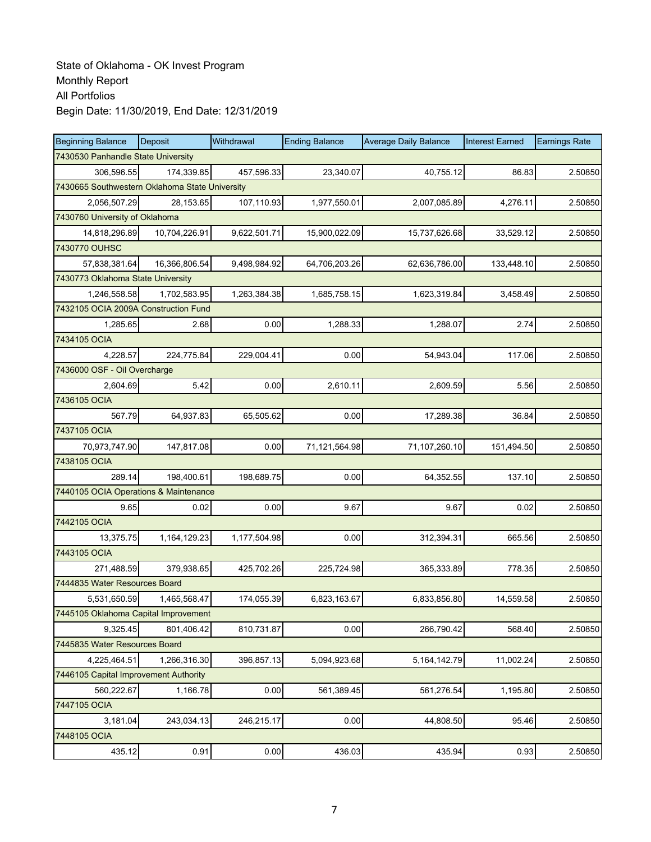| <b>Beginning Balance</b>                       | Deposit       | Withdrawal   | <b>Ending Balance</b> | <b>Average Daily Balance</b> | <b>Interest Earned</b> | <b>Earnings Rate</b> |  |  |  |
|------------------------------------------------|---------------|--------------|-----------------------|------------------------------|------------------------|----------------------|--|--|--|
| 7430530 Panhandle State University             |               |              |                       |                              |                        |                      |  |  |  |
| 306,596.55                                     | 174,339.85    | 457,596.33   | 23,340.07             | 40,755.12                    | 86.83                  | 2.50850              |  |  |  |
| 7430665 Southwestern Oklahoma State University |               |              |                       |                              |                        |                      |  |  |  |
| 2,056,507.29                                   | 28,153.65     | 107,110.93   | 1,977,550.01          | 2,007,085.89                 | 4,276.11               | 2.50850              |  |  |  |
| 7430760 University of Oklahoma                 |               |              |                       |                              |                        |                      |  |  |  |
| 14,818,296.89                                  | 10,704,226.91 | 9,622,501.71 | 15,900,022.09         | 15,737,626.68                | 33,529.12              | 2.50850              |  |  |  |
| 7430770 OUHSC                                  |               |              |                       |                              |                        |                      |  |  |  |
| 57,838,381.64                                  | 16,366,806.54 | 9,498,984.92 | 64,706,203.26         | 62,636,786.00                | 133,448.10             | 2.50850              |  |  |  |
| 7430773 Oklahoma State University              |               |              |                       |                              |                        |                      |  |  |  |
| 1,246,558.58                                   | 1,702,583.95  | 1,263,384.38 | 1,685,758.15          | 1,623,319.84                 | 3,458.49               | 2.50850              |  |  |  |
| 7432105 OCIA 2009A Construction Fund           |               |              |                       |                              |                        |                      |  |  |  |
| 1,285.65                                       | 2.68          | 0.00         | 1,288.33              | 1,288.07                     | 2.74                   | 2.50850              |  |  |  |
| 7434105 OCIA                                   |               |              |                       |                              |                        |                      |  |  |  |
| 4,228.57                                       | 224,775.84    | 229,004.41   | 0.00                  | 54.943.04                    | 117.06                 | 2.50850              |  |  |  |
| 7436000 OSF - Oil Overcharge                   |               |              |                       |                              |                        |                      |  |  |  |
| 2,604.69                                       | 5.42          | 0.00         | 2,610.11              | 2,609.59                     | 5.56                   | 2.50850              |  |  |  |
| 7436105 OCIA                                   |               |              |                       |                              |                        |                      |  |  |  |
| 567.79                                         | 64,937.83     | 65,505.62    | 0.00                  | 17,289.38                    | 36.84                  | 2.50850              |  |  |  |
| 7437105 OCIA                                   |               |              |                       |                              |                        |                      |  |  |  |
| 70,973,747.90                                  | 147,817.08    | 0.00         | 71,121,564.98         | 71,107,260.10                | 151,494.50             | 2.50850              |  |  |  |
| 7438105 OCIA                                   |               |              |                       |                              |                        |                      |  |  |  |
| 289.14                                         | 198,400.61    | 198,689.75   | 0.00                  | 64,352.55                    | 137.10                 | 2.50850              |  |  |  |
| 7440105 OCIA Operations & Maintenance          |               |              |                       |                              |                        |                      |  |  |  |
| 9.65                                           | 0.02          | 0.00         | 9.67                  | 9.67                         | 0.02                   | 2.50850              |  |  |  |
| 7442105 OCIA                                   |               |              |                       |                              |                        |                      |  |  |  |
| 13,375.75                                      | 1,164,129.23  | 1,177,504.98 | 0.00                  | 312,394.31                   | 665.56                 | 2.50850              |  |  |  |
| 7443105 OCIA                                   |               |              |                       |                              |                        |                      |  |  |  |
| 271,488.59                                     | 379.938.65    | 425,702.26   | 225,724.98            | 365,333.89                   | 778.35                 | 2.50850              |  |  |  |
| 7444835 Water Resources Board                  |               |              |                       |                              |                        |                      |  |  |  |
| 5,531,650.59                                   | 1,465,568.47  | 174,055.39   | 6,823,163.67          | 6,833,856.80                 | 14,559.58              | 2.50850              |  |  |  |
| 7445105 Oklahoma Capital Improvement           |               |              |                       |                              |                        |                      |  |  |  |
| 9,325.45                                       | 801.406.42    | 810,731.87   | 0.00                  | 266,790.42                   | 568.40                 | 2.50850              |  |  |  |
| 7445835 Water Resources Board                  |               |              |                       |                              |                        |                      |  |  |  |
| 4,225,464.51                                   | 1,266,316.30  | 396,857.13   | 5,094,923.68          | 5, 164, 142. 79              | 11,002.24              | 2.50850              |  |  |  |
| 7446105 Capital Improvement Authority          |               |              |                       |                              |                        |                      |  |  |  |
| 560,222.67                                     | 1,166.78      | 0.00         | 561,389.45            | 561,276.54                   | 1,195.80               | 2.50850              |  |  |  |
| 7447105 OCIA                                   |               |              |                       |                              |                        |                      |  |  |  |
| 3,181.04                                       | 243,034.13    | 246,215.17   | 0.00                  | 44,808.50                    | 95.46                  | 2.50850              |  |  |  |
| 7448105 OCIA                                   |               |              |                       |                              |                        |                      |  |  |  |
| 435.12                                         | 0.91          | 0.00         | 436.03                | 435.94                       | 0.93                   | 2.50850              |  |  |  |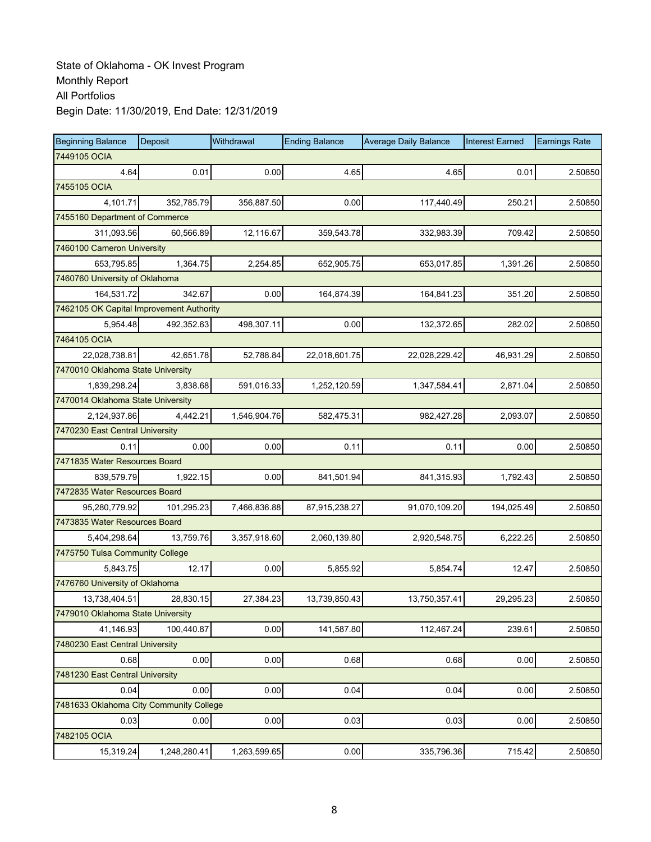| <b>Beginning Balance</b>                 | Deposit      | Withdrawal   | <b>Ending Balance</b> | <b>Average Daily Balance</b> | <b>Interest Earned</b> | <b>Earnings Rate</b> |
|------------------------------------------|--------------|--------------|-----------------------|------------------------------|------------------------|----------------------|
| 7449105 OCIA                             |              |              |                       |                              |                        |                      |
| 4.64                                     | 0.01         | 0.00         | 4.65                  | 4.65                         | 0.01                   | 2.50850              |
| 7455105 OCIA                             |              |              |                       |                              |                        |                      |
| 4,101.71                                 | 352,785.79   | 356,887.50   | 0.00                  | 117,440.49                   | 250.21                 | 2.50850              |
| 7455160 Department of Commerce           |              |              |                       |                              |                        |                      |
| 311,093.56                               | 60,566.89    | 12,116.67    | 359,543.78            | 332,983.39                   | 709.42                 | 2.50850              |
| 7460100 Cameron University               |              |              |                       |                              |                        |                      |
| 653,795.85                               | 1,364.75     | 2,254.85     | 652,905.75            | 653,017.85                   | 1,391.26               | 2.50850              |
| 7460760 University of Oklahoma           |              |              |                       |                              |                        |                      |
| 164,531.72                               | 342.67       | 0.00         | 164,874.39            | 164,841.23                   | 351.20                 | 2.50850              |
| 7462105 OK Capital Improvement Authority |              |              |                       |                              |                        |                      |
| 5,954.48                                 | 492,352.63   | 498,307.11   | 0.00                  | 132,372.65                   | 282.02                 | 2.50850              |
| 7464105 OCIA                             |              |              |                       |                              |                        |                      |
| 22.028.738.81                            | 42,651.78    | 52,788.84    | 22,018,601.75         | 22,028,229.42                | 46,931.29              | 2.50850              |
| 7470010 Oklahoma State University        |              |              |                       |                              |                        |                      |
| 1,839,298.24                             | 3,838.68     | 591,016.33   | 1,252,120.59          | 1,347,584.41                 | 2,871.04               | 2.50850              |
| 7470014 Oklahoma State University        |              |              |                       |                              |                        |                      |
| 2,124,937.86                             | 4,442.21     | 1,546,904.76 | 582,475.31            | 982,427.28                   | 2,093.07               | 2.50850              |
| 7470230 East Central University          |              |              |                       |                              |                        |                      |
| 0.11                                     | 0.00         | 0.00         | 0.11                  | 0.11                         | 0.00                   | 2.50850              |
| 7471835 Water Resources Board            |              |              |                       |                              |                        |                      |
| 839,579.79                               | 1,922.15     | 0.00         | 841,501.94            | 841,315.93                   | 1,792.43               | 2.50850              |
| 7472835 Water Resources Board            |              |              |                       |                              |                        |                      |
| 95,280,779.92                            | 101,295.23   | 7,466,836.88 | 87,915,238.27         | 91,070,109.20                | 194,025.49             | 2.50850              |
| 7473835 Water Resources Board            |              |              |                       |                              |                        |                      |
| 5,404,298.64                             | 13,759.76    | 3,357,918.60 | 2,060,139.80          | 2,920,548.75                 | 6,222.25               | 2.50850              |
| 7475750 Tulsa Community College          |              |              |                       |                              |                        |                      |
| 5.843.75                                 | 12.17        | 0.00         | 5.855.92              | 5,854.74                     | 12.47                  | 2.50850              |
| 7476760 University of Oklahoma           |              |              |                       |                              |                        |                      |
| 13,738,404.51                            | 28,830.15    | 27,384.23    | 13,739,850.43         | 13,750,357.41                | 29,295.23              | 2.50850              |
| 7479010 Oklahoma State University        |              |              |                       |                              |                        |                      |
| 41,146.93                                | 100.440.87   | 0.00         | 141,587.80            | 112,467.24                   | 239.61                 | 2.50850              |
| 7480230 East Central University          |              |              |                       |                              |                        |                      |
| 0.68                                     | 0.00         | 0.00         | 0.68                  | 0.68                         | 0.00                   | 2.50850              |
| 7481230 East Central University          |              |              |                       |                              |                        |                      |
| 0.04                                     | 0.00         | 0.00         | 0.04                  | 0.04                         | 0.00                   | 2.50850              |
| 7481633 Oklahoma City Community College  |              |              |                       |                              |                        |                      |
| 0.03                                     | 0.00         | 0.00         | 0.03                  | 0.03                         | 0.00                   | 2.50850              |
| 7482105 OCIA                             |              |              |                       |                              |                        |                      |
| 15,319.24                                | 1,248,280.41 | 1,263,599.65 | 0.00                  | 335,796.36                   | 715.42                 | 2.50850              |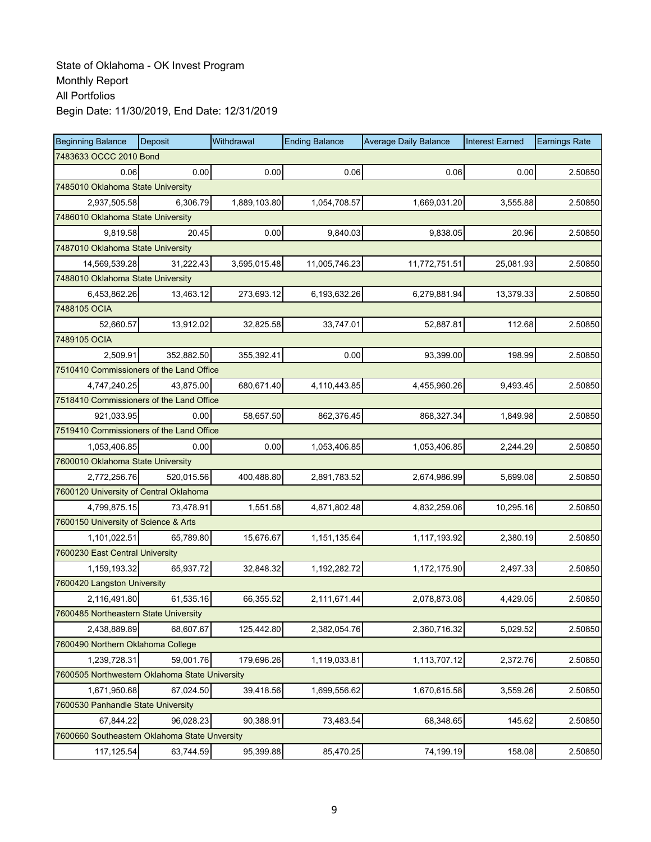| <b>Beginning Balance</b>                       | Deposit    | Withdrawal   | <b>Ending Balance</b> | <b>Average Daily Balance</b> | <b>Interest Earned</b> | <b>Earnings Rate</b> |
|------------------------------------------------|------------|--------------|-----------------------|------------------------------|------------------------|----------------------|
| 7483633 OCCC 2010 Bond                         |            |              |                       |                              |                        |                      |
| 0.06                                           | 0.00       | 0.00         | 0.06                  | 0.06                         | 0.00                   | 2.50850              |
| 7485010 Oklahoma State University              |            |              |                       |                              |                        |                      |
| 2,937,505.58                                   | 6,306.79   | 1,889,103.80 | 1,054,708.57          | 1,669,031.20                 | 3,555.88               | 2.50850              |
| 7486010 Oklahoma State University              |            |              |                       |                              |                        |                      |
| 9,819.58                                       | 20.45      | 0.00         | 9,840.03              | 9,838.05                     | 20.96                  | 2.50850              |
| 7487010 Oklahoma State University              |            |              |                       |                              |                        |                      |
| 14,569,539.28                                  | 31,222.43  | 3,595,015.48 | 11,005,746.23         | 11,772,751.51                | 25,081.93              | 2.50850              |
| 7488010 Oklahoma State University              |            |              |                       |                              |                        |                      |
| 6,453,862.26                                   | 13,463.12  | 273,693.12   | 6,193,632.26          | 6,279,881.94                 | 13,379.33              | 2.50850              |
| 7488105 OCIA                                   |            |              |                       |                              |                        |                      |
| 52,660.57                                      | 13,912.02  | 32,825.58    | 33,747.01             | 52,887.81                    | 112.68                 | 2.50850              |
| 7489105 OCIA                                   |            |              |                       |                              |                        |                      |
| 2,509.91                                       | 352,882.50 | 355,392.41   | 0.00                  | 93,399.00                    | 198.99                 | 2.50850              |
| 7510410 Commissioners of the Land Office       |            |              |                       |                              |                        |                      |
| 4,747,240.25                                   | 43,875.00  | 680,671.40   | 4,110,443.85          | 4,455,960.26                 | 9,493.45               | 2.50850              |
| 7518410 Commissioners of the Land Office       |            |              |                       |                              |                        |                      |
| 921,033.95                                     | 0.00       | 58,657.50    | 862,376.45            | 868,327.34                   | 1,849.98               | 2.50850              |
| 7519410 Commissioners of the Land Office       |            |              |                       |                              |                        |                      |
| 1,053,406.85                                   | 0.00       | 0.00         | 1,053,406.85          | 1,053,406.85                 | 2,244.29               | 2.50850              |
| 7600010 Oklahoma State University              |            |              |                       |                              |                        |                      |
| 2,772,256.76                                   | 520,015.56 | 400,488.80   | 2,891,783.52          | 2,674,986.99                 | 5,699.08               | 2.50850              |
| 7600120 University of Central Oklahoma         |            |              |                       |                              |                        |                      |
| 4,799,875.15                                   | 73,478.91  | 1,551.58     | 4,871,802.48          | 4,832,259.06                 | 10,295.16              | 2.50850              |
| 7600150 University of Science & Arts           |            |              |                       |                              |                        |                      |
| 1,101,022.51                                   | 65,789.80  | 15,676.67    | 1,151,135.64          | 1,117,193.92                 | 2,380.19               | 2.50850              |
| 7600230 East Central University                |            |              |                       |                              |                        |                      |
| 1,159,193.32                                   | 65,937.72  | 32,848.32    | 1,192,282.72          | 1,172,175.90                 | 2.497.33               | 2.50850              |
| 7600420 Langston University                    |            |              |                       |                              |                        |                      |
| 2,116,491.80                                   | 61,535.16  | 66,355.52    | 2,111,671.44          | 2,078,873.08                 | 4,429.05               | 2.50850              |
| 7600485 Northeastern State University          |            |              |                       |                              |                        |                      |
| 2,438,889.89                                   | 68.607.67  | 125,442.80   | 2,382,054.76          | 2,360,716.32                 | 5,029.52               | 2.50850              |
| 7600490 Northern Oklahoma College              |            |              |                       |                              |                        |                      |
| 1,239,728.31                                   | 59,001.76  | 179,696.26   | 1,119,033.81          | 1,113,707.12                 | 2,372.76               | 2.50850              |
| 7600505 Northwestern Oklahoma State University |            |              |                       |                              |                        |                      |
| 1,671,950.68                                   | 67,024.50  | 39,418.56    | 1,699,556.62          | 1,670,615.58                 | 3,559.26               | 2.50850              |
| 7600530 Panhandle State University             |            |              |                       |                              |                        |                      |
| 67,844.22                                      | 96,028.23  | 90,388.91    | 73,483.54             | 68,348.65                    | 145.62                 | 2.50850              |
| 7600660 Southeastern Oklahoma State Unversity  |            |              |                       |                              |                        |                      |
| 117,125.54                                     | 63,744.59  | 95,399.88    | 85,470.25             | 74,199.19                    | 158.08                 | 2.50850              |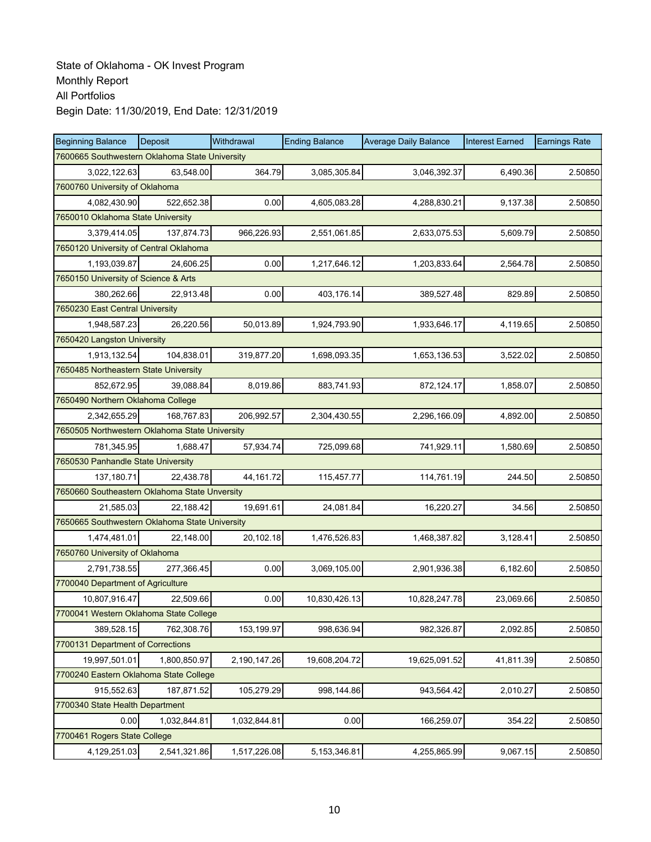| <b>Beginning Balance</b>                       | Deposit      | Withdrawal   | <b>Ending Balance</b> | <b>Average Daily Balance</b> | <b>Interest Earned</b> | <b>Earnings Rate</b> |  |  |
|------------------------------------------------|--------------|--------------|-----------------------|------------------------------|------------------------|----------------------|--|--|
| 7600665 Southwestern Oklahoma State University |              |              |                       |                              |                        |                      |  |  |
| 3,022,122.63                                   | 63,548.00    | 364.79       | 3,085,305.84          | 3,046,392.37                 | 6,490.36               | 2.50850              |  |  |
| 7600760 University of Oklahoma                 |              |              |                       |                              |                        |                      |  |  |
| 4,082,430.90                                   | 522,652.38   | 0.00         | 4,605,083.28          | 4,288,830.21                 | 9,137.38               | 2.50850              |  |  |
| 7650010 Oklahoma State University              |              |              |                       |                              |                        |                      |  |  |
| 3,379,414.05                                   | 137,874.73   | 966,226.93   | 2,551,061.85          | 2,633,075.53                 | 5,609.79               | 2.50850              |  |  |
| 7650120 University of Central Oklahoma         |              |              |                       |                              |                        |                      |  |  |
| 1,193,039.87                                   | 24,606.25    | 0.00         | 1,217,646.12          | 1,203,833.64                 | 2,564.78               | 2.50850              |  |  |
| 7650150 University of Science & Arts           |              |              |                       |                              |                        |                      |  |  |
| 380,262.66                                     | 22,913.48    | 0.00         | 403,176.14            | 389,527.48                   | 829.89                 | 2.50850              |  |  |
| 7650230 East Central University                |              |              |                       |                              |                        |                      |  |  |
| 1,948,587.23                                   | 26,220.56    | 50,013.89    | 1,924,793.90          | 1,933,646.17                 | 4,119.65               | 2.50850              |  |  |
| 7650420 Langston University                    |              |              |                       |                              |                        |                      |  |  |
| 1,913,132.54                                   | 104,838.01   | 319,877.20   | 1,698,093.35          | 1,653,136.53                 | 3,522.02               | 2.50850              |  |  |
| 7650485 Northeastern State University          |              |              |                       |                              |                        |                      |  |  |
| 852,672.95                                     | 39,088.84    | 8,019.86     | 883,741.93            | 872,124.17                   | 1,858.07               | 2.50850              |  |  |
| 7650490 Northern Oklahoma College              |              |              |                       |                              |                        |                      |  |  |
| 2,342,655.29                                   | 168,767.83   | 206,992.57   | 2,304,430.55          | 2,296,166.09                 | 4,892.00               | 2.50850              |  |  |
| 7650505 Northwestern Oklahoma State University |              |              |                       |                              |                        |                      |  |  |
| 781,345.95                                     | 1.688.47     | 57,934.74    | 725,099.68            | 741,929.11                   | 1,580.69               | 2.50850              |  |  |
| 7650530 Panhandle State University             |              |              |                       |                              |                        |                      |  |  |
| 137,180.71                                     | 22,438.78    | 44, 161. 72  | 115,457.77            | 114,761.19                   | 244.50                 | 2.50850              |  |  |
| 7650660 Southeastern Oklahoma State Unversity  |              |              |                       |                              |                        |                      |  |  |
| 21,585.03                                      | 22,188.42    | 19,691.61    | 24,081.84             | 16,220.27                    | 34.56                  | 2.50850              |  |  |
| 7650665 Southwestern Oklahoma State University |              |              |                       |                              |                        |                      |  |  |
| 1,474,481.01                                   | 22,148.00    | 20,102.18    | 1,476,526.83          | 1,468,387.82                 | 3,128.41               | 2.50850              |  |  |
| 7650760 University of Oklahoma                 |              |              |                       |                              |                        |                      |  |  |
| 2,791,738.55                                   | 277,366.45   | 0.00         | 3,069,105.00          | 2,901,936.38                 | 6,182.60               | 2.50850              |  |  |
| 7700040 Department of Agriculture              |              |              |                       |                              |                        |                      |  |  |
| 10,807,916.47                                  | 22,509.66    | 0.00         | 10,830,426.13         | 10,828,247.78                | 23,069.66              | 2.50850              |  |  |
| 7700041 Western Oklahoma State College         |              |              |                       |                              |                        |                      |  |  |
| 389,528.15                                     | 762,308.76   | 153,199.97   | 998,636.94            | 982,326.87                   | 2,092.85               | 2.50850              |  |  |
| 7700131 Department of Corrections              |              |              |                       |                              |                        |                      |  |  |
| 19,997,501.01                                  | 1,800,850.97 | 2,190,147.26 | 19,608,204.72         | 19,625,091.52                | 41,811.39              | 2.50850              |  |  |
| 7700240 Eastern Oklahoma State College         |              |              |                       |                              |                        |                      |  |  |
| 915,552.63                                     | 187,871.52   | 105,279.29   | 998,144.86            | 943,564.42                   | 2,010.27               | 2.50850              |  |  |
| 7700340 State Health Department                |              |              |                       |                              |                        |                      |  |  |
| 0.00                                           | 1,032,844.81 | 1,032,844.81 | 0.00                  | 166,259.07                   | 354.22                 | 2.50850              |  |  |
| 7700461 Rogers State College                   |              |              |                       |                              |                        |                      |  |  |
| 4,129,251.03                                   | 2,541,321.86 | 1,517,226.08 | 5,153,346.81          | 4,255,865.99                 | 9,067.15               | 2.50850              |  |  |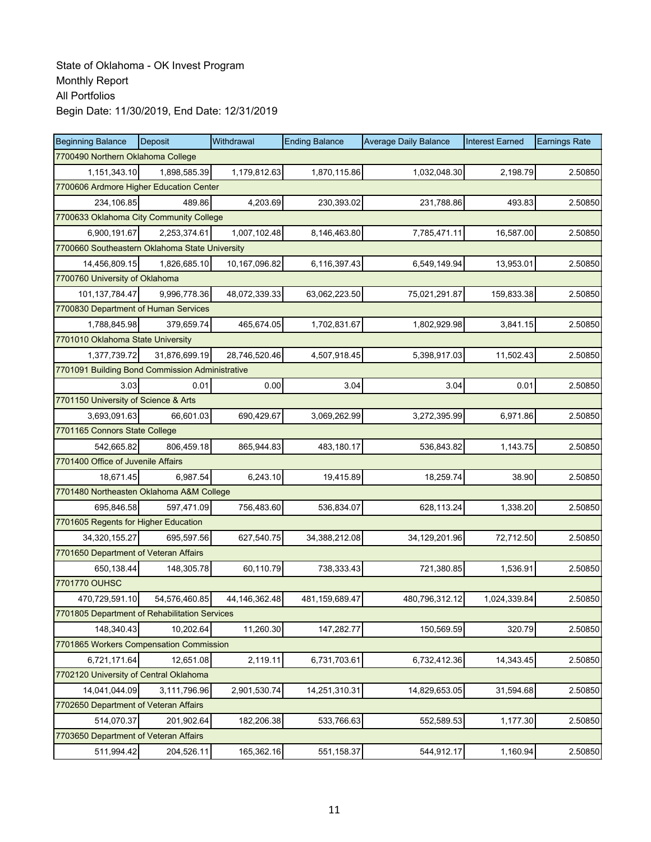| <b>Beginning Balance</b>                        | <b>Deposit</b> | Withdrawal       | <b>Ending Balance</b> | <b>Average Daily Balance</b> | <b>Interest Earned</b> | <b>Earnings Rate</b> |  |  |  |
|-------------------------------------------------|----------------|------------------|-----------------------|------------------------------|------------------------|----------------------|--|--|--|
| 7700490 Northern Oklahoma College               |                |                  |                       |                              |                        |                      |  |  |  |
| 1,151,343.10                                    | 1,898,585.39   | 1,179,812.63     | 1,870,115.86          | 1,032,048.30                 | 2,198.79               | 2.50850              |  |  |  |
| 7700606 Ardmore Higher Education Center         |                |                  |                       |                              |                        |                      |  |  |  |
| 234,106.85                                      | 489.86         | 4,203.69         | 230,393.02            | 231,788.86                   | 493.83                 | 2.50850              |  |  |  |
| 7700633 Oklahoma City Community College         |                |                  |                       |                              |                        |                      |  |  |  |
| 6,900,191.67                                    | 2,253,374.61   | 1,007,102.48     | 8,146,463.80          | 7,785,471.11                 | 16,587.00              | 2.50850              |  |  |  |
| 7700660 Southeastern Oklahoma State University  |                |                  |                       |                              |                        |                      |  |  |  |
| 14,456,809.15                                   | 1,826,685.10   | 10,167,096.82    | 6,116,397.43          | 6,549,149.94                 | 13,953.01              | 2.50850              |  |  |  |
| 7700760 University of Oklahoma                  |                |                  |                       |                              |                        |                      |  |  |  |
| 101,137,784.47                                  | 9,996,778.36   | 48,072,339.33    | 63,062,223.50         | 75,021,291.87                | 159,833.38             | 2.50850              |  |  |  |
| 7700830 Department of Human Services            |                |                  |                       |                              |                        |                      |  |  |  |
| 1,788,845.98                                    | 379,659.74     | 465,674.05       | 1,702,831.67          | 1,802,929.98                 | 3,841.15               | 2.50850              |  |  |  |
| 7701010 Oklahoma State University               |                |                  |                       |                              |                        |                      |  |  |  |
| 1,377,739.72                                    | 31,876,699.19  | 28,746,520.46    | 4,507,918.45          | 5,398,917.03                 | 11,502.43              | 2.50850              |  |  |  |
| 7701091 Building Bond Commission Administrative |                |                  |                       |                              |                        |                      |  |  |  |
| 3.03                                            | 0.01           | 0.00             | 3.04                  | 3.04                         | 0.01                   | 2.50850              |  |  |  |
| 7701150 University of Science & Arts            |                |                  |                       |                              |                        |                      |  |  |  |
| 3,693,091.63                                    | 66,601.03      | 690,429.67       | 3,069,262.99          | 3,272,395.99                 | 6,971.86               | 2.50850              |  |  |  |
| 7701165 Connors State College                   |                |                  |                       |                              |                        |                      |  |  |  |
| 542,665.82                                      | 806,459.18     | 865,944.83       | 483,180.17            | 536,843.82                   | 1,143.75               | 2.50850              |  |  |  |
| 7701400 Office of Juvenile Affairs              |                |                  |                       |                              |                        |                      |  |  |  |
| 18,671.45                                       | 6,987.54       | 6,243.10         | 19,415.89             | 18,259.74                    | 38.90                  | 2.50850              |  |  |  |
| 7701480 Northeasten Oklahoma A&M College        |                |                  |                       |                              |                        |                      |  |  |  |
| 695,846.58                                      | 597,471.09     | 756,483.60       | 536,834.07            | 628,113.24                   | 1,338.20               | 2.50850              |  |  |  |
| 7701605 Regents for Higher Education            |                |                  |                       |                              |                        |                      |  |  |  |
| 34,320,155.27                                   | 695,597.56     | 627,540.75       | 34,388,212.08         | 34,129,201.96                | 72,712.50              | 2.50850              |  |  |  |
| 7701650 Department of Veteran Affairs           |                |                  |                       |                              |                        |                      |  |  |  |
| 650,138.44                                      | 148,305.78     | 60,110.79        | 738,333.43            | 721,380.85                   | 1.536.91               | 2.50850              |  |  |  |
| 7701770 OUHSC                                   |                |                  |                       |                              |                        |                      |  |  |  |
| 470,729,591.10                                  | 54,576,460.85  | 44, 146, 362. 48 | 481,159,689.47        | 480,796,312.12               | 1,024,339.84           | 2.50850              |  |  |  |
| 7701805 Department of Rehabilitation Services   |                |                  |                       |                              |                        |                      |  |  |  |
| 148,340.43                                      | 10,202.64      | 11,260.30        | 147,282.77            | 150,569.59                   | 320.79                 | 2.50850              |  |  |  |
| 7701865 Workers Compensation Commission         |                |                  |                       |                              |                        |                      |  |  |  |
| 6,721,171.64                                    | 12,651.08      | 2,119.11         | 6,731,703.61          | 6,732,412.36                 | 14,343.45              | 2.50850              |  |  |  |
| 7702120 University of Central Oklahoma          |                |                  |                       |                              |                        |                      |  |  |  |
| 14,041,044.09                                   | 3,111,796.96   | 2,901,530.74     | 14,251,310.31         | 14,829,653.05                | 31,594.68              | 2.50850              |  |  |  |
| 7702650 Department of Veteran Affairs           |                |                  |                       |                              |                        |                      |  |  |  |
| 514,070.37                                      | 201,902.64     | 182,206.38       | 533,766.63            | 552,589.53                   | 1,177.30               | 2.50850              |  |  |  |
| 7703650 Department of Veteran Affairs           |                |                  |                       |                              |                        |                      |  |  |  |
| 511,994.42                                      | 204,526.11     | 165,362.16       | 551,158.37            | 544,912.17                   | 1,160.94               | 2.50850              |  |  |  |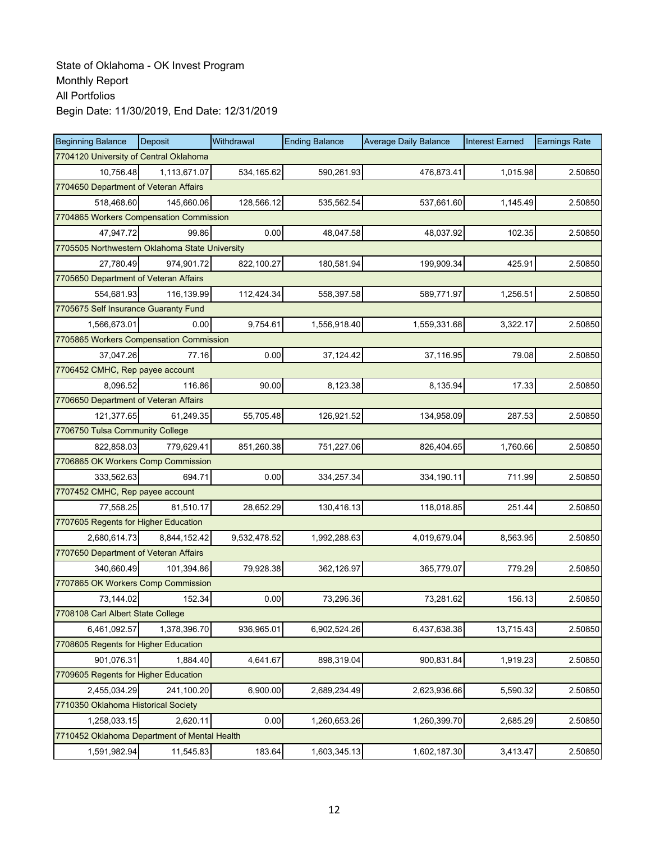| <b>Beginning Balance</b>                       | Deposit                               | Withdrawal   | <b>Ending Balance</b> | <b>Average Daily Balance</b> | <b>Interest Earned</b> | <b>Earnings Rate</b> |  |  |  |  |
|------------------------------------------------|---------------------------------------|--------------|-----------------------|------------------------------|------------------------|----------------------|--|--|--|--|
| 7704120 University of Central Oklahoma         |                                       |              |                       |                              |                        |                      |  |  |  |  |
| 10,756.48                                      | 1,113,671.07                          | 534,165.62   | 590,261.93            | 476,873.41                   | 1,015.98               | 2.50850              |  |  |  |  |
|                                                | 7704650 Department of Veteran Affairs |              |                       |                              |                        |                      |  |  |  |  |
| 518,468.60                                     | 145,660.06                            | 128,566.12   | 535,562.54            | 537,661.60                   | 1,145.49               | 2.50850              |  |  |  |  |
| 7704865 Workers Compensation Commission        |                                       |              |                       |                              |                        |                      |  |  |  |  |
| 47,947.72                                      | 99.86                                 | 0.00         | 48,047.58             | 48,037.92                    | 102.35                 | 2.50850              |  |  |  |  |
| 7705505 Northwestern Oklahoma State University |                                       |              |                       |                              |                        |                      |  |  |  |  |
| 27,780.49                                      | 974,901.72                            | 822,100.27   | 180,581.94            | 199,909.34                   | 425.91                 | 2.50850              |  |  |  |  |
| 7705650 Department of Veteran Affairs          |                                       |              |                       |                              |                        |                      |  |  |  |  |
| 554,681.93                                     | 116,139.99                            | 112,424.34   | 558,397.58            | 589,771.97                   | 1,256.51               | 2.50850              |  |  |  |  |
| 7705675 Self Insurance Guaranty Fund           |                                       |              |                       |                              |                        |                      |  |  |  |  |
| 1,566,673.01                                   | 0.00                                  | 9,754.61     | 1,556,918.40          | 1,559,331.68                 | 3,322.17               | 2.50850              |  |  |  |  |
| 7705865 Workers Compensation Commission        |                                       |              |                       |                              |                        |                      |  |  |  |  |
| 37.047.26                                      | 77.16                                 | 0.00         | 37,124.42             | 37,116.95                    | 79.08                  | 2.50850              |  |  |  |  |
| 7706452 CMHC, Rep payee account                |                                       |              |                       |                              |                        |                      |  |  |  |  |
| 8,096.52                                       | 116.86                                | 90.00        | 8,123.38              | 8,135.94                     | 17.33                  | 2.50850              |  |  |  |  |
| 7706650 Department of Veteran Affairs          |                                       |              |                       |                              |                        |                      |  |  |  |  |
| 121,377.65                                     | 61,249.35                             | 55,705.48    | 126,921.52            | 134,958.09                   | 287.53                 | 2.50850              |  |  |  |  |
| 7706750 Tulsa Community College                |                                       |              |                       |                              |                        |                      |  |  |  |  |
| 822,858.03                                     | 779,629.41                            | 851,260.38   | 751,227.06            | 826,404.65                   | 1,760.66               | 2.50850              |  |  |  |  |
| 7706865 OK Workers Comp Commission             |                                       |              |                       |                              |                        |                      |  |  |  |  |
| 333,562.63                                     | 694.71                                | 0.00         | 334,257.34            | 334,190.11                   | 711.99                 | 2.50850              |  |  |  |  |
| 7707452 CMHC, Rep payee account                |                                       |              |                       |                              |                        |                      |  |  |  |  |
| 77,558.25                                      | 81,510.17                             | 28,652.29    | 130,416.13            | 118,018.85                   | 251.44                 | 2.50850              |  |  |  |  |
| 7707605 Regents for Higher Education           |                                       |              |                       |                              |                        |                      |  |  |  |  |
| 2,680,614.73                                   | 8,844,152.42                          | 9,532,478.52 | 1,992,288.63          | 4,019,679.04                 | 8,563.95               | 2.50850              |  |  |  |  |
| 7707650 Department of Veteran Affairs          |                                       |              |                       |                              |                        |                      |  |  |  |  |
| 340,660.49                                     | 101,394.86                            | 79,928.38    | 362,126.97            | 365,779.07                   | 779.29                 | 2.50850              |  |  |  |  |
| 7707865 OK Workers Comp Commission             |                                       |              |                       |                              |                        |                      |  |  |  |  |
| 73,144.02                                      | 152.34                                | 0.00         | 73,296.36             | 73,281.62                    | 156.13                 | 2.50850              |  |  |  |  |
| 7708108 Carl Albert State College              |                                       |              |                       |                              |                        |                      |  |  |  |  |
| 6,461,092.57                                   | 1,378,396.70                          | 936,965.01   | 6,902,524.26          | 6,437,638.38                 | 13,715.43              | 2.50850              |  |  |  |  |
| 7708605 Regents for Higher Education           |                                       |              |                       |                              |                        |                      |  |  |  |  |
| 901,076.31                                     | 1,884.40                              | 4,641.67     | 898,319.04            | 900,831.84                   | 1,919.23               | 2.50850              |  |  |  |  |
| 7709605 Regents for Higher Education           |                                       |              |                       |                              |                        |                      |  |  |  |  |
| 2,455,034.29                                   | 241,100.20                            | 6,900.00     | 2,689,234.49          | 2,623,936.66                 | 5,590.32               | 2.50850              |  |  |  |  |
| 7710350 Oklahoma Historical Society            |                                       |              |                       |                              |                        |                      |  |  |  |  |
| 1,258,033.15                                   | 2,620.11                              | 0.00         | 1,260,653.26          | 1,260,399.70                 | 2,685.29               | 2.50850              |  |  |  |  |
| 7710452 Oklahoma Department of Mental Health   |                                       |              |                       |                              |                        |                      |  |  |  |  |
| 1,591,982.94                                   | 11,545.83                             | 183.64       | 1,603,345.13          | 1,602,187.30                 | 3,413.47               | 2.50850              |  |  |  |  |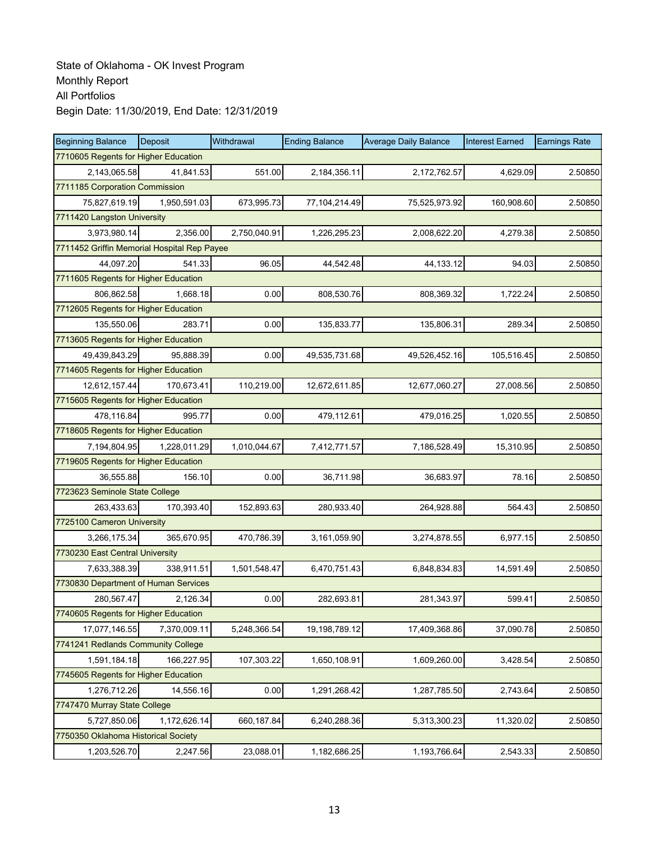| <b>Beginning Balance</b>                    | <b>Deposit</b> | Withdrawal   | <b>Ending Balance</b> | <b>Average Daily Balance</b> | <b>Interest Earned</b> | <b>Earnings Rate</b> |  |  |
|---------------------------------------------|----------------|--------------|-----------------------|------------------------------|------------------------|----------------------|--|--|
| 7710605 Regents for Higher Education        |                |              |                       |                              |                        |                      |  |  |
| 2,143,065.58                                | 41,841.53      | 551.00       | 2,184,356.11          | 2,172,762.57                 | 4,629.09               | 2.50850              |  |  |
| 7711185 Corporation Commission              |                |              |                       |                              |                        |                      |  |  |
| 75,827,619.19                               | 1,950,591.03   | 673,995.73   | 77,104,214.49         | 75,525,973.92                | 160,908.60             | 2.50850              |  |  |
| 7711420 Langston University                 |                |              |                       |                              |                        |                      |  |  |
| 3,973,980.14                                | 2,356.00       | 2,750,040.91 | 1,226,295.23          | 2,008,622.20                 | 4,279.38               | 2.50850              |  |  |
| 7711452 Griffin Memorial Hospital Rep Payee |                |              |                       |                              |                        |                      |  |  |
| 44,097.20                                   | 541.33         | 96.05        | 44,542.48             | 44, 133. 12                  | 94.03                  | 2.50850              |  |  |
| 7711605 Regents for Higher Education        |                |              |                       |                              |                        |                      |  |  |
| 806,862.58                                  | 1,668.18       | 0.00         | 808,530.76            | 808,369.32                   | 1,722.24               | 2.50850              |  |  |
| 7712605 Regents for Higher Education        |                |              |                       |                              |                        |                      |  |  |
| 135,550.06                                  | 283.71         | 0.00         | 135,833.77            | 135,806.31                   | 289.34                 | 2.50850              |  |  |
| 7713605 Regents for Higher Education        |                |              |                       |                              |                        |                      |  |  |
| 49,439,843.29                               | 95.888.39      | 0.00         | 49,535,731.68         | 49,526,452.16                | 105,516.45             | 2.50850              |  |  |
| 7714605 Regents for Higher Education        |                |              |                       |                              |                        |                      |  |  |
| 12,612,157.44                               | 170,673.41     | 110,219.00   | 12,672,611.85         | 12,677,060.27                | 27,008.56              | 2.50850              |  |  |
| 7715605 Regents for Higher Education        |                |              |                       |                              |                        |                      |  |  |
| 478,116.84                                  | 995.77         | 0.00         | 479,112.61            | 479,016.25                   | 1,020.55               | 2.50850              |  |  |
| 7718605 Regents for Higher Education        |                |              |                       |                              |                        |                      |  |  |
| 7,194,804.95                                | 1,228,011.29   | 1,010,044.67 | 7,412,771.57          | 7,186,528.49                 | 15,310.95              | 2.50850              |  |  |
| 7719605 Regents for Higher Education        |                |              |                       |                              |                        |                      |  |  |
| 36,555.88                                   | 156.10         | 0.00         | 36,711.98             | 36,683.97                    | 78.16                  | 2.50850              |  |  |
| 7723623 Seminole State College              |                |              |                       |                              |                        |                      |  |  |
| 263,433.63                                  | 170,393.40     | 152,893.63   | 280,933.40            | 264,928.88                   | 564.43                 | 2.50850              |  |  |
| 7725100 Cameron University                  |                |              |                       |                              |                        |                      |  |  |
| 3,266,175.34                                | 365,670.95     | 470,786.39   | 3,161,059.90          | 3,274,878.55                 | 6,977.15               | 2.50850              |  |  |
| 7730230 East Central University             |                |              |                       |                              |                        |                      |  |  |
| 7,633,388.39                                | 338,911.51     | 1,501,548.47 | 6,470,751.43          | 6,848,834.83                 | 14,591.49              | 2.50850              |  |  |
| 7730830 Department of Human Services        |                |              |                       |                              |                        |                      |  |  |
| 280,567.47                                  | 2,126.34       | 0.00         | 282,693.81            | 281,343.97                   | 599.41                 | 2.50850              |  |  |
| 7740605 Regents for Higher Education        |                |              |                       |                              |                        |                      |  |  |
| 17,077,146.55                               | 7,370,009.11   | 5,248,366.54 | 19,198,789.12         | 17,409,368.86                | 37,090.78              | 2.50850              |  |  |
| 7741241 Redlands Community College          |                |              |                       |                              |                        |                      |  |  |
| 1,591,184.18                                | 166,227.95     | 107,303.22   | 1,650,108.91          | 1,609,260.00                 | 3,428.54               | 2.50850              |  |  |
| 7745605 Regents for Higher Education        |                |              |                       |                              |                        |                      |  |  |
| 1,276,712.26                                | 14,556.16      | 0.00         | 1,291,268.42          | 1,287,785.50                 | 2,743.64               | 2.50850              |  |  |
| 7747470 Murray State College                |                |              |                       |                              |                        |                      |  |  |
| 5,727,850.06                                | 1,172,626.14   | 660,187.84   | 6,240,288.36          | 5,313,300.23                 | 11,320.02              | 2.50850              |  |  |
| 7750350 Oklahoma Historical Society         |                |              |                       |                              |                        |                      |  |  |
| 1,203,526.70                                | 2,247.56       | 23,088.01    | 1,182,686.25          | 1,193,766.64                 | 2,543.33               | 2.50850              |  |  |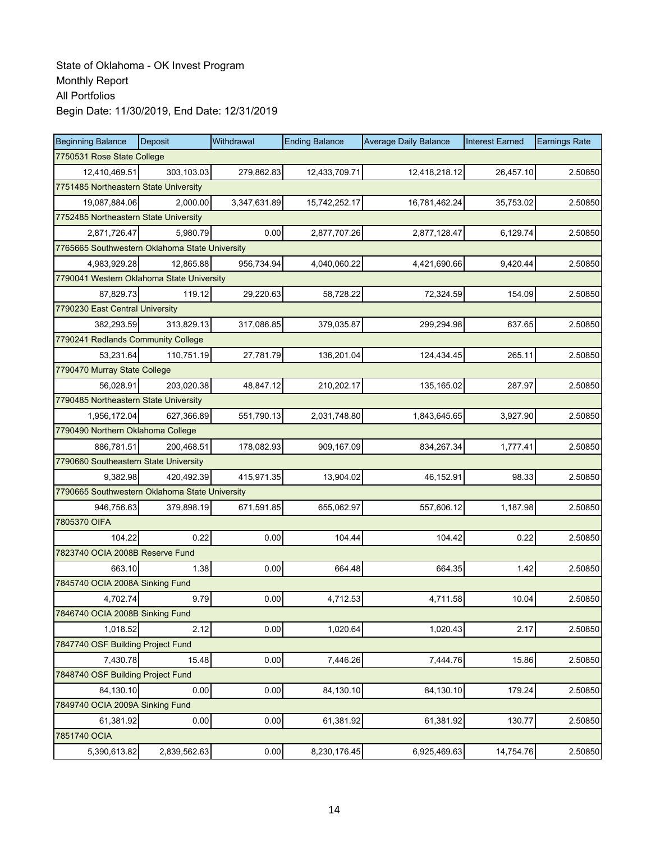| <b>Beginning Balance</b>                       | Deposit      | Withdrawal   | <b>Ending Balance</b> | <b>Average Daily Balance</b> | <b>Interest Earned</b> | <b>Earnings Rate</b> |  |  |
|------------------------------------------------|--------------|--------------|-----------------------|------------------------------|------------------------|----------------------|--|--|
| 7750531 Rose State College                     |              |              |                       |                              |                        |                      |  |  |
| 12,410,469.51                                  | 303,103.03   | 279,862.83   | 12,433,709.71         | 12,418,218.12                | 26,457.10              | 2.50850              |  |  |
| 7751485 Northeastern State University          |              |              |                       |                              |                        |                      |  |  |
| 19,087,884.06                                  | 2.000.00     | 3,347,631.89 | 15,742,252.17         | 16,781,462.24                | 35,753.02              | 2.50850              |  |  |
| 7752485 Northeastern State University          |              |              |                       |                              |                        |                      |  |  |
| 2,871,726.47                                   | 5.980.79     | 0.00         | 2,877,707.26          | 2,877,128.47                 | 6,129.74               | 2.50850              |  |  |
| 7765665 Southwestern Oklahoma State University |              |              |                       |                              |                        |                      |  |  |
| 4,983,929.28                                   | 12,865.88    | 956,734.94   | 4,040,060.22          | 4,421,690.66                 | 9,420.44               | 2.50850              |  |  |
| 7790041 Western Oklahoma State University      |              |              |                       |                              |                        |                      |  |  |
| 87,829.73                                      | 119.12       | 29,220.63    | 58,728.22             | 72,324.59                    | 154.09                 | 2.50850              |  |  |
| 7790230 East Central University                |              |              |                       |                              |                        |                      |  |  |
| 382,293.59                                     | 313,829.13   | 317,086.85   | 379,035.87            | 299,294.98                   | 637.65                 | 2.50850              |  |  |
| 7790241 Redlands Community College             |              |              |                       |                              |                        |                      |  |  |
| 53,231.64                                      | 110,751.19   | 27,781.79    | 136,201.04            | 124,434.45                   | 265.11                 | 2.50850              |  |  |
| 7790470 Murray State College                   |              |              |                       |                              |                        |                      |  |  |
| 56,028.91                                      | 203,020.38   | 48,847.12    | 210,202.17            | 135,165.02                   | 287.97                 | 2.50850              |  |  |
| 7790485 Northeastern State University          |              |              |                       |                              |                        |                      |  |  |
| 1,956,172.04                                   | 627,366.89   | 551,790.13   | 2,031,748.80          | 1,843,645.65                 | 3,927.90               | 2.50850              |  |  |
| 7790490 Northern Oklahoma College              |              |              |                       |                              |                        |                      |  |  |
| 886,781.51                                     | 200,468.51   | 178,082.93   | 909,167.09            | 834,267.34                   | 1,777.41               | 2.50850              |  |  |
| 7790660 Southeastern State University          |              |              |                       |                              |                        |                      |  |  |
| 9,382.98                                       | 420,492.39   | 415,971.35   | 13,904.02             | 46,152.91                    | 98.33                  | 2.50850              |  |  |
| 7790665 Southwestern Oklahoma State University |              |              |                       |                              |                        |                      |  |  |
| 946,756.63                                     | 379,898.19   | 671,591.85   | 655,062.97            | 557,606.12                   | 1,187.98               | 2.50850              |  |  |
| 7805370 OIFA                                   |              |              |                       |                              |                        |                      |  |  |
| 104.22                                         | 0.22         | 0.00         | 104.44                | 104.42                       | 0.22                   | 2.50850              |  |  |
| 7823740 OCIA 2008B Reserve Fund                |              |              |                       |                              |                        |                      |  |  |
| 663.10                                         | 1.38         | 0.00         | 664.48                | 664.35                       | 1.42                   | 2.50850              |  |  |
| 7845740 OCIA 2008A Sinking Fund                |              |              |                       |                              |                        |                      |  |  |
| 4,702.74                                       | 9.79         | 0.00         | 4,712.53              | 4,711.58                     | 10.04                  | 2.50850              |  |  |
| 7846740 OCIA 2008B Sinking Fund                |              |              |                       |                              |                        |                      |  |  |
| 1,018.52                                       | 2.12         | 0.00         | 1,020.64              | 1,020.43                     | 2.17                   | 2.50850              |  |  |
| 7847740 OSF Building Project Fund              |              |              |                       |                              |                        |                      |  |  |
| 7,430.78                                       | 15.48        | 0.00         | 7,446.26              | 7,444.76                     | 15.86                  | 2.50850              |  |  |
| 7848740 OSF Building Project Fund              |              |              |                       |                              |                        |                      |  |  |
| 84,130.10                                      | 0.00         | 0.00         | 84,130.10             | 84,130.10                    | 179.24                 | 2.50850              |  |  |
| 7849740 OCIA 2009A Sinking Fund                |              |              |                       |                              |                        |                      |  |  |
| 61,381.92                                      | 0.00         | 0.00         | 61,381.92             | 61,381.92                    | 130.77                 | 2.50850              |  |  |
| 7851740 OCIA                                   |              |              |                       |                              |                        |                      |  |  |
| 5,390,613.82                                   | 2,839,562.63 | 0.00         | 8,230,176.45          | 6,925,469.63                 | 14,754.76              | 2.50850              |  |  |